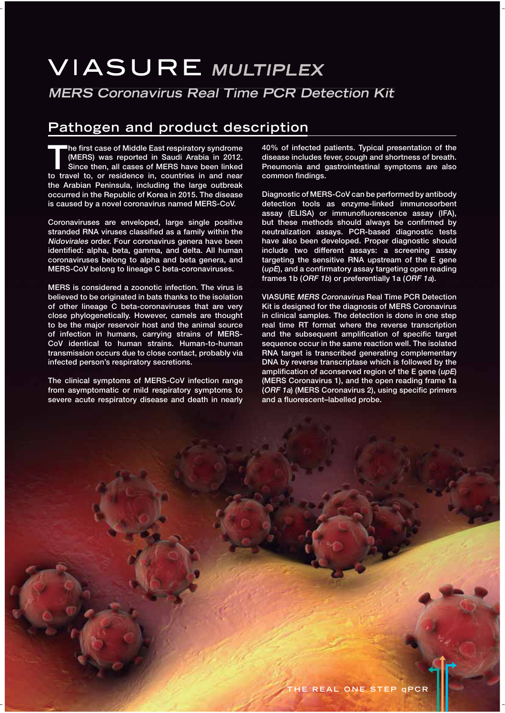# **VIASURE MULTIPLEX MERS Coronavirus Real Time PCR Detection Kit**

## **Pathogen and product description**

**The first case of Middle East respiratory syndrome**<br>
(MERS) was reported in Saudi Arabia in 2012.<br>
Since then, all cases of MERS have been linked<br>
to travel to or residence in countries in and near **(MERS) was reported in Saudi Arabia in 2012. Since then, all cases of MERS have been linked to travel to, or residence in, countries in and near the Arabian Peninsula, including the large outbreak occurred in the Republic of Korea in 2015. The disease is caused by a novel coronavirus named MERS-CoV.** 

**Coronaviruses are enveloped, large single positive stranded RNA viruses classified as a family within the Nidovirales order. Four coronavirus genera have been identified: alpha, beta, gamma, and delta. All human coronaviruses belong to alpha and beta genera, and MERS-CoV belong to lineage C beta-coronaviruses.** 

**MERS is considered a zoonotic infection. The virus is believed to be originated in bats thanks to the isolation of other lineage C beta-coronaviruses that are very close phylogenetically. However, camels are thought to be the major reservoir host and the animal source of infection in humans, carrying strains of MERS-CoV identical to human strains. Human-to-human transmission occurs due to close contact, probably via infected person's respiratory secretions.** 

**The clinical symptoms of MERS-CoV infection range from asymptomatic or mild respiratory symptoms to severe acute respiratory disease and death in nearly**  **40% of infected patients. Typical presentation of the disease includes fever, cough and shortness of breath. Pneumonia and gastrointestinal symptoms are also common findings.** 

**Diagnostic of MERS-CoV can be performed by antibody detection tools as enzyme-linked immunosorbent assay (ELISA) or immunofluorescence assay (IFA), but these methods should always be confirmed by neutralization assays. PCR-based diagnostic tests have also been developed. Proper diagnostic should include two different assays: a screening assay targeting the sensitive RNA upstream of the E gene (upE), and a confirmatory assay targeting open reading frames 1b (ORF 1b) or preferentially 1a (ORF 1a).**

**VIASURE MERS Coronavirus Real Time PCR Detection Kit is designed for the diagnosis of MERS Coronavirus in clinical samples. The detection is done in one step real time RT format where the reverse transcription and the subsequent amplification of specific target sequence occur in the same reaction well. The isolated RNA target is transcribed generating complementary DNA by reverse transcriptase which is followed by the amplification of aconserved region of the E gene (upE) (MERS Coronavirus 1), and the open reading frame 1a (ORF 1a) (MERS Coronavirus 2), using specific primers and a fluorescent–labelled probe.**